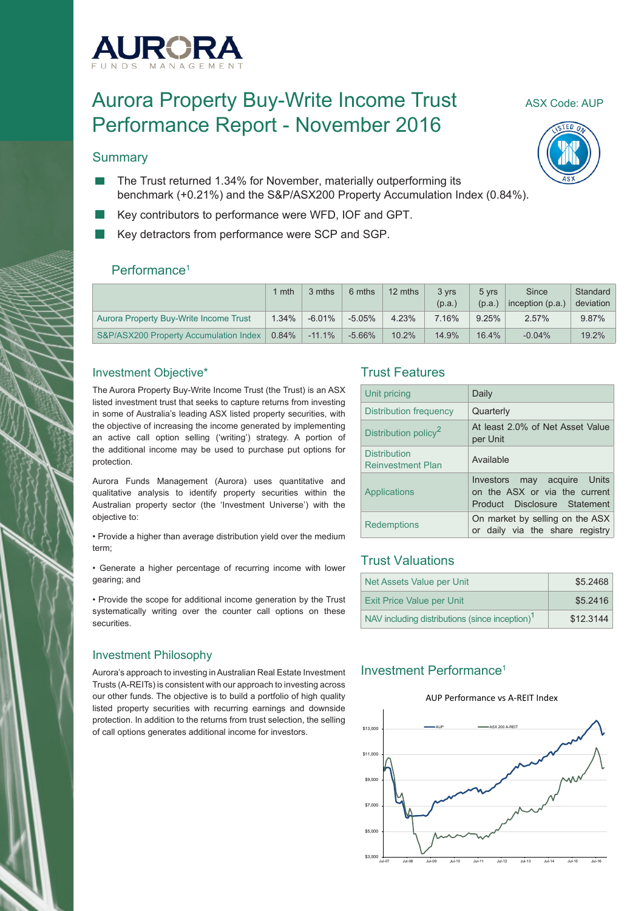

# Aurora Property Buy-Write Income Trust ASX Code: AUP Performance Report - November 2016

#### **Summary**

- The Trust returned 1.34% for November, materially outperforming its benchmark (+0.21%) and the S&P/ASX200 Property Accumulation Index (0.84%).
- Key contributors to performance were WFD, IOF and GPT.
- Key detractors from performance were SCP and SGP.

#### Performance<sup>1</sup>

|                                        | l mth    | 3 mths   | 6 mths    | 12 mths | 3 vrs  | 5 yrs  | Since              | Standard  |
|----------------------------------------|----------|----------|-----------|---------|--------|--------|--------------------|-----------|
|                                        |          |          |           |         | (p.a.) | (p.a.) | inception $(p.a.)$ | deviation |
| Aurora Property Buy-Write Income Trust | 1.34%    | $-6.01%$ | $-5.05%$  | 4.23%   | 7.16%  | 9.25%  | 2.57%              | 9.87%     |
| S&P/ASX200 Property Accumulation Index | $0.84\%$ | $-11.1%$ | $-5.66\%$ | 10.2%   | 14.9%  | 16.4%  | $-0.04%$           | 19.2%     |

#### Investment Objective\*

The Aurora Property Buy-Write Income Trust (the Trust) is an ASX listed investment trust that seeks to capture returns from investing in some of Australia's leading ASX listed property securities, with the objective of increasing the income generated by implementing an active call option selling ('writing') strategy. A portion of the additional income may be used to purchase put options for protection.

Aurora Funds Management (Aurora) uses quantitative and qualitative analysis to identify property securities within the Australian property sector (the 'Investment Universe') with the objective to:

• Provide a higher than average distribution yield over the medium term;

• Generate a higher percentage of recurring income with lower gearing; and

• Provide the scope for additional income generation by the Trust systematically writing over the counter call options on these securities.

#### Investment Philosophy

Aurora's approach to investing in Australian Real Estate Investment Trusts (A-REITs) is consistent with our approach to investing across our other funds. The objective is to build a portfolio of high quality listed property securities with recurring earnings and downside protection. In addition to the returns from trust selection, the selling of call options generates additional income for investors.

#### Trust Features

| Unit pricing                                    | Daily                                                                                           |  |
|-------------------------------------------------|-------------------------------------------------------------------------------------------------|--|
| Distribution frequency                          | Quarterly                                                                                       |  |
| Distribution policy <sup>2</sup>                | At least 2.0% of Net Asset Value<br>per Unit                                                    |  |
| <b>Distribution</b><br><b>Reinvestment Plan</b> | Available                                                                                       |  |
| Applications                                    | may acquire Units<br>Investors<br>on the ASX or via the current<br>Product Disclosure Statement |  |
| <b>Redemptions</b>                              | On market by selling on the ASX<br>or daily via the share registry                              |  |

### Trust Valuations

| Net Assets Value per Unit                                  | \$5.2468  |
|------------------------------------------------------------|-----------|
| <b>Exit Price Value per Unit</b>                           | \$5.2416  |
| NAV including distributions (since inception) <sup>1</sup> | \$12,3144 |

#### Investment Performance1